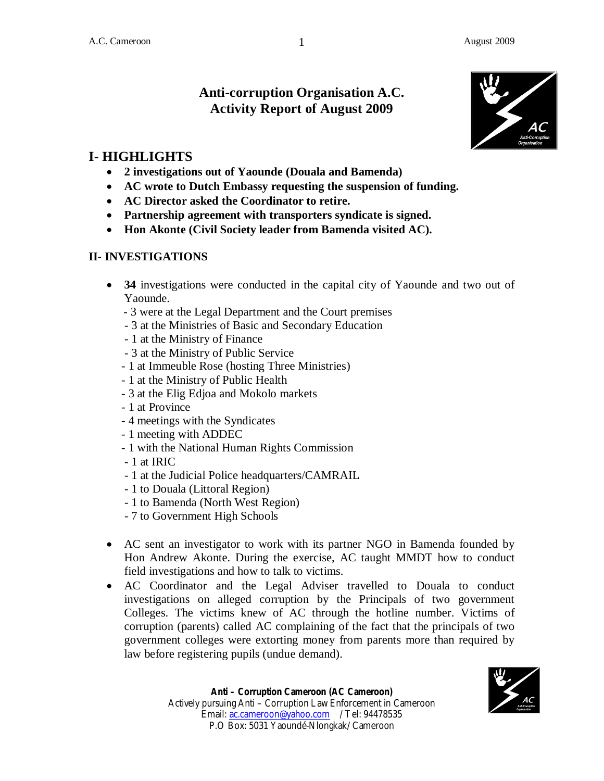# **Anti-corruption Organisation A.C. Activity Report of August 2009**



# **I- HIGHLIGHTS**

- **2 investigations out of Yaounde (Douala and Bamenda)**
- **AC wrote to Dutch Embassy requesting the suspension of funding.**
- **AC Director asked the Coordinator to retire.**
- **Partnership agreement with transporters syndicate is signed.**
- **Hon Akonte (Civil Society leader from Bamenda visited AC).**

## **II- INVESTIGATIONS**

- **34** investigations were conducted in the capital city of Yaounde and two out of Yaounde.
	- 3 were at the Legal Department and the Court premises
	- 3 at the Ministries of Basic and Secondary Education
	- 1 at the Ministry of Finance
	- 3 at the Ministry of Public Service
	- 1 at Immeuble Rose (hosting Three Ministries)
	- 1 at the Ministry of Public Health
	- 3 at the Elig Edjoa and Mokolo markets
	- 1 at Province
	- 4 meetings with the Syndicates
	- 1 meeting with ADDEC
	- 1 with the National Human Rights Commission
	- 1 at IRIC
	- 1 at the Judicial Police headquarters/CAMRAIL
	- 1 to Douala (Littoral Region)
	- 1 to Bamenda (North West Region)
	- 7 to Government High Schools
- AC sent an investigator to work with its partner NGO in Bamenda founded by Hon Andrew Akonte. During the exercise, AC taught MMDT how to conduct field investigations and how to talk to victims.
- AC Coordinator and the Legal Adviser travelled to Douala to conduct investigations on alleged corruption by the Principals of two government Colleges. The victims knew of AC through the hotline number. Victims of corruption (parents) called AC complaining of the fact that the principals of two government colleges were extorting money from parents more than required by law before registering pupils (undue demand).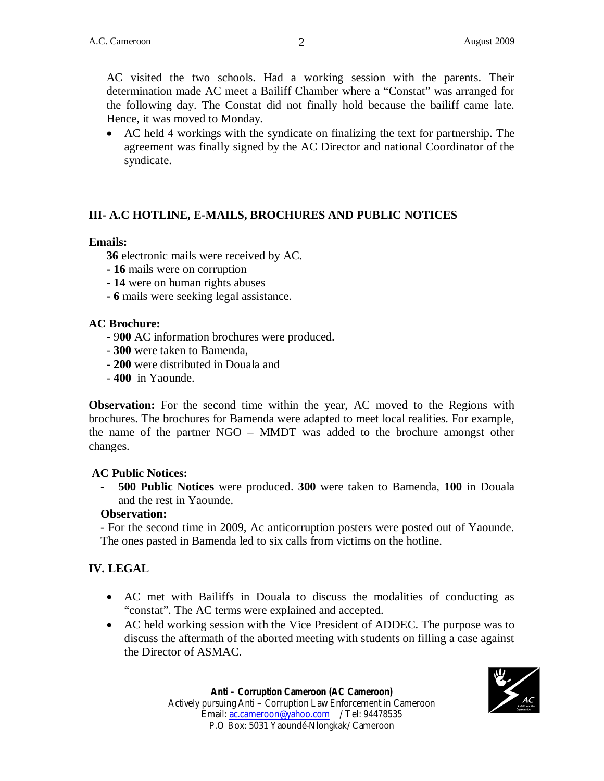AC visited the two schools. Had a working session with the parents. Their determination made AC meet a Bailiff Chamber where a "Constat" was arranged for the following day. The Constat did not finally hold because the bailiff came late. Hence, it was moved to Monday.

 AC held 4 workings with the syndicate on finalizing the text for partnership. The agreement was finally signed by the AC Director and national Coordinator of the syndicate.

## **III- A.C HOTLINE, E-MAILS, BROCHURES AND PUBLIC NOTICES**

#### **Emails:**

- **36** electronic mails were received by AC.
- **16** mails were on corruption
- **14** were on human rights abuses
- **- 6** mails were seeking legal assistance.

#### **AC Brochure:**

- 9**00** AC information brochures were produced.
- **300** were taken to Bamenda,
- **- 200** were distributed in Douala and
- - **400** in Yaounde.

**Observation:** For the second time within the year, AC moved to the Regions with brochures. The brochures for Bamenda were adapted to meet local realities. For example, the name of the partner NGO – MMDT was added to the brochure amongst other changes.

#### **AC Public Notices:**

**- 500 Public Notices** were produced. **300** were taken to Bamenda, **100** in Douala and the rest in Yaounde.

#### **Observation:**

- For the second time in 2009, Ac anticorruption posters were posted out of Yaounde. The ones pasted in Bamenda led to six calls from victims on the hotline.

#### **IV. LEGAL**

- AC met with Bailiffs in Douala to discuss the modalities of conducting as "constat". The AC terms were explained and accepted.
- AC held working session with the Vice President of ADDEC. The purpose was to discuss the aftermath of the aborted meeting with students on filling a case against the Director of ASMAC.

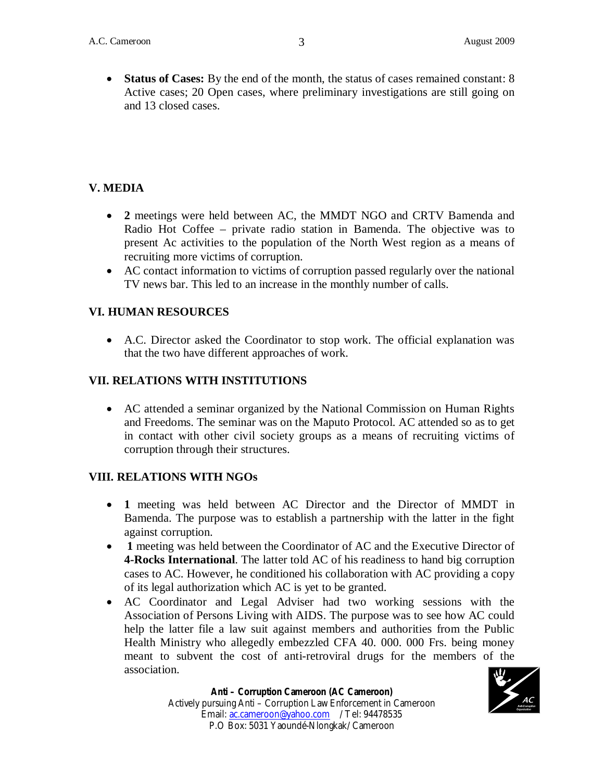**Status of Cases:** By the end of the month, the status of cases remained constant: 8 Active cases; 20 Open cases, where preliminary investigations are still going on and 13 closed cases.

# **V. MEDIA**

- **2** meetings were held between AC, the MMDT NGO and CRTV Bamenda and Radio Hot Coffee – private radio station in Bamenda. The objective was to present Ac activities to the population of the North West region as a means of recruiting more victims of corruption.
- AC contact information to victims of corruption passed regularly over the national TV news bar. This led to an increase in the monthly number of calls.

## **VI. HUMAN RESOURCES**

 A.C. Director asked the Coordinator to stop work. The official explanation was that the two have different approaches of work.

## **VII. RELATIONS WITH INSTITUTIONS**

 AC attended a seminar organized by the National Commission on Human Rights and Freedoms. The seminar was on the Maputo Protocol. AC attended so as to get in contact with other civil society groups as a means of recruiting victims of corruption through their structures.

#### **VIII. RELATIONS WITH NGOs**

- **1** meeting was held between AC Director and the Director of MMDT in Bamenda. The purpose was to establish a partnership with the latter in the fight against corruption.
- 1 meeting was held between the Coordinator of AC and the Executive Director of **4-Rocks International**. The latter told AC of his readiness to hand big corruption cases to AC. However, he conditioned his collaboration with AC providing a copy of its legal authorization which AC is yet to be granted.
- AC Coordinator and Legal Adviser had two working sessions with the Association of Persons Living with AIDS. The purpose was to see how AC could help the latter file a law suit against members and authorities from the Public Health Ministry who allegedly embezzled CFA 40. 000. 000 Frs. being money meant to subvent the cost of anti-retroviral drugs for the members of the association.